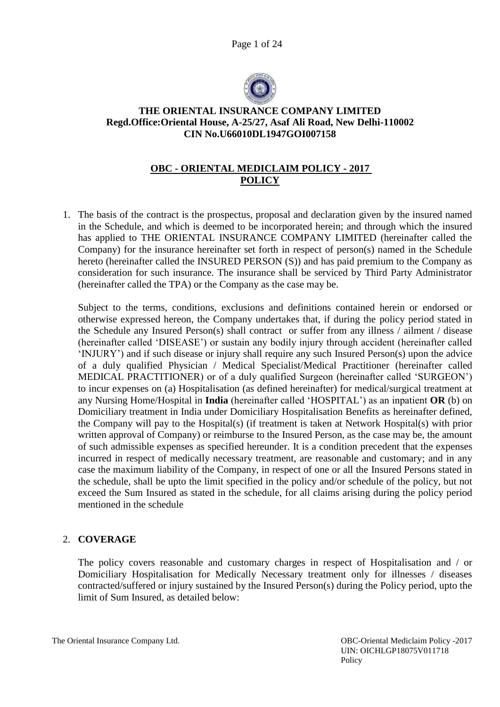Page 1 of 24



# **THE ORIENTAL INSURANCE COMPANY LIMITED Regd.Office:Oriental House, A-25/27, Asaf Ali Road, New Delhi-110002 CIN No.U66010DL1947GOI007158**

# **OBC - ORIENTAL MEDICLAIM POLICY - 2017 POLICY**

1. The basis of the contract is the prospectus, proposal and declaration given by the insured named in the Schedule, and which is deemed to be incorporated herein; and through which the insured has applied to THE ORIENTAL INSURANCE COMPANY LIMITED (hereinafter called the Company) for the insurance hereinafter set forth in respect of person(s) named in the Schedule hereto (hereinafter called the INSURED PERSON (S)) and has paid premium to the Company as consideration for such insurance. The insurance shall be serviced by Third Party Administrator (hereinafter called the TPA) or the Company as the case may be.

Subject to the terms, conditions, exclusions and definitions contained herein or endorsed or otherwise expressed hereon, the Company undertakes that, if during the policy period stated in the Schedule any Insured Person(s) shall contract or suffer from any illness / ailment / disease (hereinafter called 'DISEASE') or sustain any bodily injury through accident (hereinafter called 'INJURY') and if such disease or injury shall require any such Insured Person(s) upon the advice of a duly qualified Physician / Medical Specialist/Medical Practitioner (hereinafter called MEDICAL PRACTITIONER) or of a duly qualified Surgeon (hereinafter called 'SURGEON') to incur expenses on (a) Hospitalisation (as defined hereinafter) for medical/surgical treatment at any Nursing Home/Hospital in **India** (hereinafter called 'HOSPITAL') as an inpatient **OR** (b) on Domiciliary treatment in India under Domiciliary Hospitalisation Benefits as hereinafter defined, the Company will pay to the Hospital(s) (if treatment is taken at Network Hospital(s) with prior written approval of Company) or reimburse to the Insured Person, as the case may be, the amount of such admissible expenses as specified hereunder. It is a condition precedent that the expenses incurred in respect of medically necessary treatment, are reasonable and customary; and in any case the maximum liability of the Company, in respect of one or all the Insured Persons stated in the schedule, shall be upto the limit specified in the policy and/or schedule of the policy, but not exceed the Sum Insured as stated in the schedule, for all claims arising during the policy period mentioned in the schedule

# 2. **COVERAGE**

The policy covers reasonable and customary charges in respect of Hospitalisation and / or Domiciliary Hospitalisation for Medically Necessary treatment only for illnesses / diseases contracted/suffered or injury sustained by the Insured Person(s) during the Policy period, upto the limit of Sum Insured, as detailed below: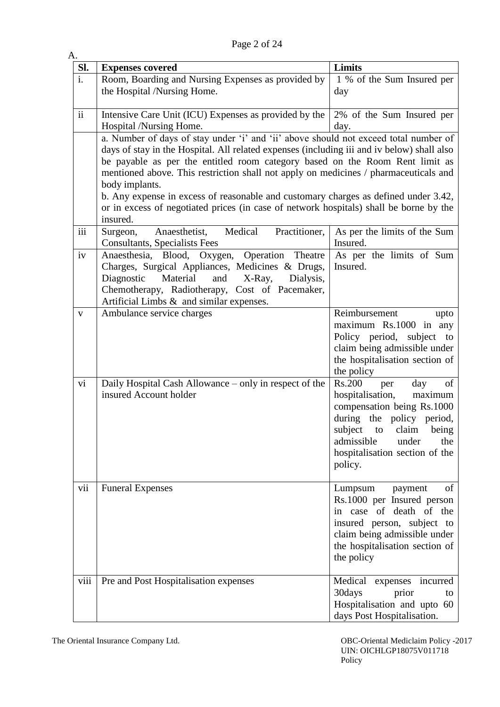Page 2 of 24

| A.             |                                                                                                                                                                                                                                                                                                                                                                                                                                                                                                                                                                           |                                                                                                                                                                                                                                           |
|----------------|---------------------------------------------------------------------------------------------------------------------------------------------------------------------------------------------------------------------------------------------------------------------------------------------------------------------------------------------------------------------------------------------------------------------------------------------------------------------------------------------------------------------------------------------------------------------------|-------------------------------------------------------------------------------------------------------------------------------------------------------------------------------------------------------------------------------------------|
| Sl.            | <b>Expenses covered</b>                                                                                                                                                                                                                                                                                                                                                                                                                                                                                                                                                   | Limits                                                                                                                                                                                                                                    |
| $\mathbf{i}$ . | Room, Boarding and Nursing Expenses as provided by<br>the Hospital /Nursing Home.                                                                                                                                                                                                                                                                                                                                                                                                                                                                                         | 1 % of the Sum Insured per<br>day                                                                                                                                                                                                         |
| $\mathbf{ii}$  | Intensive Care Unit (ICU) Expenses as provided by the<br>Hospital /Nursing Home.                                                                                                                                                                                                                                                                                                                                                                                                                                                                                          | 2% of the Sum Insured per<br>day.                                                                                                                                                                                                         |
|                | a. Number of days of stay under 'i' and 'ii' above should not exceed total number of<br>days of stay in the Hospital. All related expenses (including iii and iv below) shall also<br>be payable as per the entitled room category based on the Room Rent limit as<br>mentioned above. This restriction shall not apply on medicines / pharmaceuticals and<br>body implants.<br>b. Any expense in excess of reasonable and customary charges as defined under 3.42,<br>or in excess of negotiated prices (in case of network hospitals) shall be borne by the<br>insured. |                                                                                                                                                                                                                                           |
| iii            | Medical<br>Practitioner,<br>Anaesthetist,<br>Surgeon,<br><b>Consultants, Specialists Fees</b>                                                                                                                                                                                                                                                                                                                                                                                                                                                                             | As per the limits of the Sum<br>Insured.                                                                                                                                                                                                  |
| iv             | Anaesthesia, Blood, Oxygen,<br>Operation Theatre<br>Charges, Surgical Appliances, Medicines & Drugs,<br>Material<br>and<br>X-Ray,<br>Diagnostic<br>Dialysis,<br>Chemotherapy, Radiotherapy, Cost of Pacemaker,<br>Artificial Limbs $\&$ and similar expenses.                                                                                                                                                                                                                                                                                                             | As per the limits of Sum<br>Insured.                                                                                                                                                                                                      |
| V              | Ambulance service charges                                                                                                                                                                                                                                                                                                                                                                                                                                                                                                                                                 | Reimbursement<br>upto<br>maximum Rs.1000 in any<br>Policy period, subject to<br>claim being admissible under<br>the hospitalisation section of<br>the policy                                                                              |
| vi             | Daily Hospital Cash Allowance – only in respect of the<br>insured Account holder                                                                                                                                                                                                                                                                                                                                                                                                                                                                                          | <b>Rs.200</b><br>day<br>of<br>per<br>hospitalisation,<br>maximum<br>compensation being Rs.1000<br>during the policy period,<br>subject<br>to<br>claim<br>being<br>admissible<br>under<br>the<br>hospitalisation section of the<br>policy. |
| vii            | <b>Funeral Expenses</b>                                                                                                                                                                                                                                                                                                                                                                                                                                                                                                                                                   | of<br>Lumpsum<br>payment<br>Rs.1000 per Insured person<br>in case of death of the<br>insured person, subject to<br>claim being admissible under<br>the hospitalisation section of<br>the policy                                           |
| viii           | Pre and Post Hospitalisation expenses                                                                                                                                                                                                                                                                                                                                                                                                                                                                                                                                     | Medical<br>expenses incurred<br>30days<br>prior<br>to<br>Hospitalisation and upto 60<br>days Post Hospitalisation.                                                                                                                        |

The Oriental Insurance Company Ltd. Company Ltd. Company 1.1 Company 1.1 Company 1.1 Company 1.1 Company 1.1 Company 1.1 Company 1.1 Company 1.1 Company 1.1 Company 1.1 Company 1.1 Company 1.1 Company 1.1 Company 1.1 Compa UIN: OICHLGP18075V011718 Policy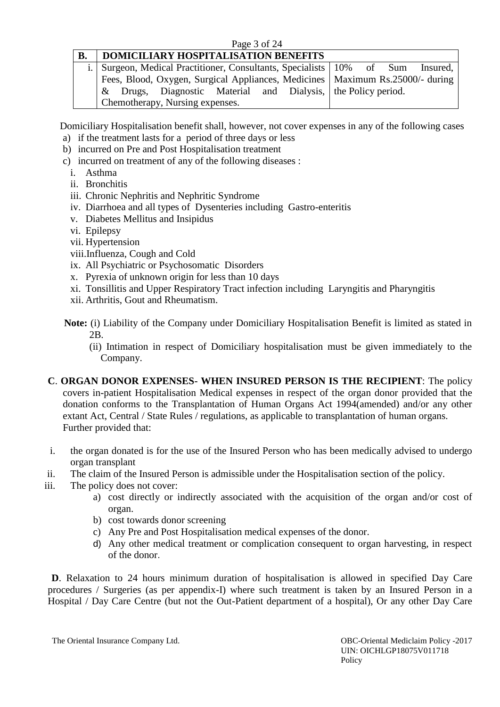#### Page 3 of 24

# **B. DOMICILIARY HOSPITALISATION BENEFITS**

|  | i. Surgeon, Medical Practitioner, Consultants, Specialists 10% of Sum Insured,   |  |  |  |  |
|--|----------------------------------------------------------------------------------|--|--|--|--|
|  | Fees, Blood, Oxygen, Surgical Appliances, Medicines   Maximum Rs. 25000/- during |  |  |  |  |
|  | & Drugs, Diagnostic Material and Dialysis, the Policy period.                    |  |  |  |  |
|  | Chemotherapy, Nursing expenses.                                                  |  |  |  |  |

Domiciliary Hospitalisation benefit shall, however, not cover expenses in any of the following cases

- a) if the treatment lasts for a period of three days or less
- b) incurred on Pre and Post Hospitalisation treatment
- c) incurred on treatment of any of the following diseases :
	- i. Asthma
	- ii. Bronchitis
	- iii. Chronic Nephritis and Nephritic Syndrome
	- iv. Diarrhoea and all types of Dysenteries including Gastro-enteritis
	- v. Diabetes Mellitus and Insipidus
	- vi. Epilepsy
	- vii. Hypertension
	- viii.Influenza, Cough and Cold
	- ix. All Psychiatric or Psychosomatic Disorders
	- x. Pyrexia of unknown origin for less than 10 days
	- xi. Tonsillitis and Upper Respiratory Tract infection including Laryngitis and Pharyngitis
	- xii. Arthritis, Gout and Rheumatism.
- **Note:** (i) Liability of the Company under Domiciliary Hospitalisation Benefit is limited as stated in 2B.
	- (ii) Intimation in respect of Domiciliary hospitalisation must be given immediately to the Company.
- **C**. **ORGAN DONOR EXPENSES- WHEN INSURED PERSON IS THE RECIPIENT**: The policy covers in-patient Hospitalisation Medical expenses in respect of the organ donor provided that the donation conforms to the Transplantation of Human Organs Act 1994(amended) and/or any other extant Act, Central / State Rules / regulations, as applicable to transplantation of human organs. Further provided that:
- i. the organ donated is for the use of the Insured Person who has been medically advised to undergo organ transplant
- ii. The claim of the Insured Person is admissible under the Hospitalisation section of the policy.
- iii. The policy does not cover:
	- a) cost directly or indirectly associated with the acquisition of the organ and/or cost of organ.
	- b) cost towards donor screening
	- c) Any Pre and Post Hospitalisation medical expenses of the donor.
	- d) Any other medical treatment or complication consequent to organ harvesting, in respect of the donor.

**D**. Relaxation to 24 hours minimum duration of hospitalisation is allowed in specified Day Care procedures / Surgeries (as per appendix-I) where such treatment is taken by an Insured Person in a Hospital / Day Care Centre (but not the Out-Patient department of a hospital), Or any other Day Care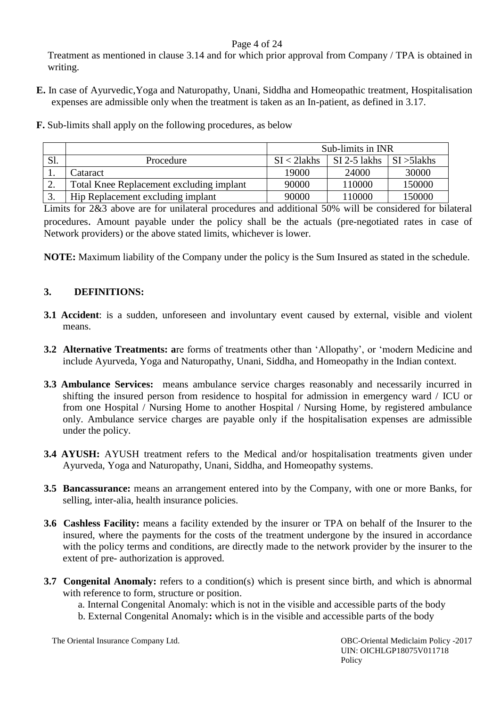# Page 4 of 24

Treatment as mentioned in clause 3.14 and for which prior approval from Company / TPA is obtained in writing.

- **E.** In case of Ayurvedic,Yoga and Naturopathy, Unani, Siddha and Homeopathic treatment, Hospitalisation expenses are admissible only when the treatment is taken as an In-patient, as defined in 3.17.
- **F.** Sub-limits shall apply on the following procedures, as below

|     |                                          | Sub-limits in INR |              |                        |  |
|-----|------------------------------------------|-------------------|--------------|------------------------|--|
| Sl. | Procedure                                | $SI < 2$ lakhs    | SI 2-5 lakhs | $\vert$ SI $>$ 51 akhs |  |
| . . | Cataract                                 | 19000             | 24000        | 30000                  |  |
| ٠.  | Total Knee Replacement excluding implant | 90000             | 110000       | 150000                 |  |
|     | Hip Replacement excluding implant        | 90000             | 110000       | 150000                 |  |

Limits for 2&3 above are for unilateral procedures and additional 50% will be considered for bilateral procedures. Amount payable under the policy shall be the actuals (pre-negotiated rates in case of Network providers) or the above stated limits, whichever is lower.

**NOTE:** Maximum liability of the Company under the policy is the Sum Insured as stated in the schedule.

# **3. DEFINITIONS:**

- **3.1 Accident**: is a sudden, unforeseen and involuntary event caused by external, visible and violent means.
- **3.2 Alternative Treatments: a**re forms of treatments other than 'Allopathy', or 'modern Medicine and include Ayurveda, Yoga and Naturopathy, Unani, Siddha, and Homeopathy in the Indian context.
- **3.3 Ambulance Services:** means ambulance service charges reasonably and necessarily incurred in shifting the insured person from residence to hospital for admission in emergency ward / ICU or from one Hospital / Nursing Home to another Hospital / Nursing Home, by registered ambulance only. Ambulance service charges are payable only if the hospitalisation expenses are admissible under the policy.
- **3.4 AYUSH:** AYUSH treatment refers to the Medical and/or hospitalisation treatments given under Ayurveda, Yoga and Naturopathy, Unani, Siddha, and Homeopathy systems.
- **3.5 Bancassurance:** means an arrangement entered into by the Company, with one or more Banks, for selling, inter-alia, health insurance policies.
- **3.6 Cashless Facility:** means a facility extended by the insurer or TPA on behalf of the Insurer to the insured, where the payments for the costs of the treatment undergone by the insured in accordance with the policy terms and conditions, are directly made to the network provider by the insurer to the extent of pre- authorization is approved.
- **3.7 Congenital Anomaly:** refers to a condition(s) which is present since birth, and which is abnormal with reference to form, structure or position.

a. Internal Congenital Anomaly: which is not in the visible and accessible parts of the body

b. External Congenital Anomaly**:** which is in the visible and accessible parts of the body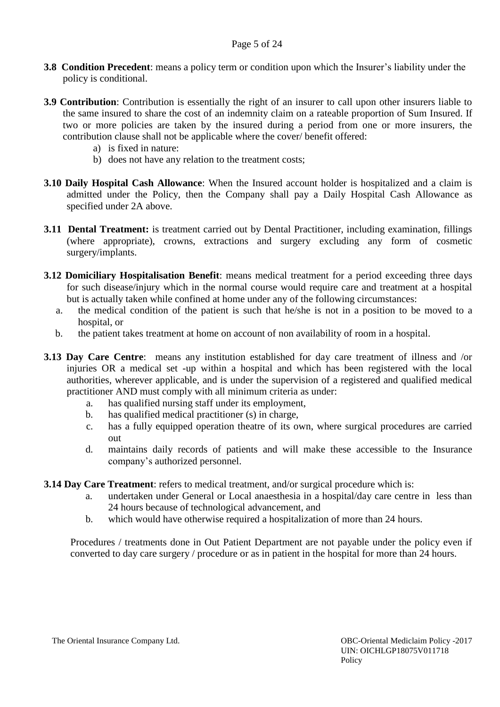- **3.8 Condition Precedent**: means a policy term or condition upon which the Insurer's liability under the policy is conditional.
- **3.9 Contribution**: Contribution is essentially the right of an insurer to call upon other insurers liable to the same insured to share the cost of an indemnity claim on a rateable proportion of Sum Insured. If two or more policies are taken by the insured during a period from one or more insurers, the contribution clause shall not be applicable where the cover/ benefit offered:
	- a) is fixed in nature:
	- b) does not have any relation to the treatment costs;
- **3.10 Daily Hospital Cash Allowance**: When the Insured account holder is hospitalized and a claim is admitted under the Policy, then the Company shall pay a Daily Hospital Cash Allowance as specified under 2A above.
- **3.11 Dental Treatment:** is treatment carried out by Dental Practitioner, including examination, fillings (where appropriate), crowns, extractions and surgery excluding any form of cosmetic surgery/implants.
- **3.12 Domiciliary Hospitalisation Benefit**: means medical treatment for a period exceeding three days for such disease/injury which in the normal course would require care and treatment at a hospital but is actually taken while confined at home under any of the following circumstances:
	- a. the medical condition of the patient is such that he/she is not in a position to be moved to a hospital, or
	- b. the patient takes treatment at home on account of non availability of room in a hospital.
- **3.13 Day Care Centre**: means any institution established for day care treatment of illness and /or injuries OR a medical set -up within a hospital and which has been registered with the local authorities, wherever applicable, and is under the supervision of a registered and qualified medical practitioner AND must comply with all minimum criteria as under:
	- a. has qualified nursing staff under its employment,
	- b. has qualified medical practitioner (s) in charge,
	- c. has a fully equipped operation theatre of its own, where surgical procedures are carried out
	- d. maintains daily records of patients and will make these accessible to the Insurance company's authorized personnel.

#### **3.14 Day Care Treatment**: refers to medical treatment, and/or surgical procedure which is:

- a. undertaken under General or Local anaesthesia in a hospital/day care centre in less than 24 hours because of technological advancement, and
- b. which would have otherwise required a hospitalization of more than 24 hours.

Procedures / treatments done in Out Patient Department are not payable under the policy even if converted to day care surgery / procedure or as in patient in the hospital for more than 24 hours.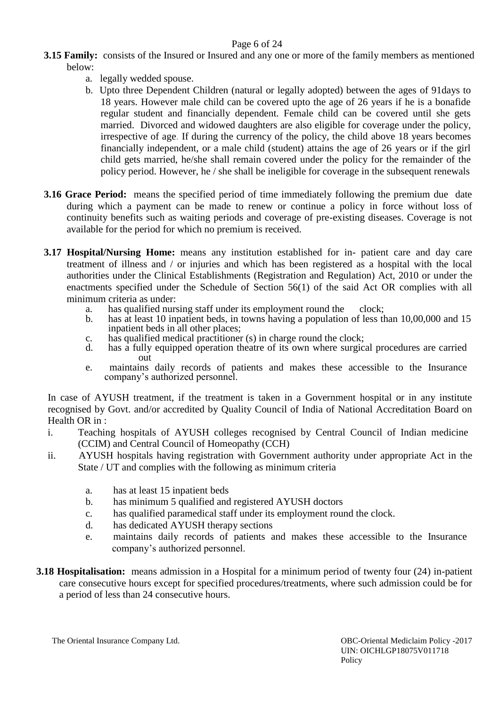# Page 6 of 24

- **3.15 Family:** consists of the Insured or Insured and any one or more of the family members as mentioned below:
	- a. legally wedded spouse.
	- b. Upto three Dependent Children (natural or legally adopted) between the ages of 91days to 18 years. However male child can be covered upto the age of 26 years if he is a bonafide regular student and financially dependent. Female child can be covered until she gets married. Divorced and widowed daughters are also eligible for coverage under the policy, irrespective of age. If during the currency of the policy, the child above 18 years becomes financially independent, or a male child (student) attains the age of 26 years or if the girl child gets married, he/she shall remain covered under the policy for the remainder of the policy period. However, he / she shall be ineligible for coverage in the subsequent renewals
- **3.16 Grace Period:** means the specified period of time immediately following the premium due date during which a payment can be made to renew or continue a policy in force without loss of continuity benefits such as waiting periods and coverage of pre-existing diseases. Coverage is not available for the period for which no premium is received.
- **3.17 Hospital/Nursing Home:** means any institution established for in- patient care and day care treatment of illness and / or injuries and which has been registered as a hospital with the local authorities under the Clinical Establishments (Registration and Regulation) Act, 2010 or under the enactments specified under the Schedule of Section 56(1) of the said Act OR complies with all minimum criteria as under:
	- a. has qualified nursing staff under its employment round the clock;
	- b. has at least 10 inpatient beds, in towns having a population of less than 10,00,000 and 15 inpatient beds in all other places;
	- c. has qualified medical practitioner (s) in charge round the clock;
	- d. has a fully equipped operation theatre of its own where surgical procedures are carried out
	- e. maintains daily records of patients and makes these accessible to the Insurance company's authorized personnel.

In case of AYUSH treatment, if the treatment is taken in a Government hospital or in any institute recognised by Govt. and/or accredited by Quality Council of India of National Accreditation Board on Health OR in :

- i. Teaching hospitals of AYUSH colleges recognised by Central Council of Indian medicine (CCIM) and Central Council of Homeopathy (CCH)
- ii. AYUSH hospitals having registration with Government authority under appropriate Act in the State / UT and complies with the following as minimum criteria
	- a. has at least 15 inpatient beds
	- b. has minimum 5 qualified and registered AYUSH doctors
	- c. has qualified paramedical staff under its employment round the clock.
	- d. has dedicated AYUSH therapy sections
	- e. maintains daily records of patients and makes these accessible to the Insurance company's authorized personnel.
- **3.18 Hospitalisation:** means admission in a Hospital for a minimum period of twenty four (24) in-patient care consecutive hours except for specified procedures/treatments, where such admission could be for a period of less than 24 consecutive hours.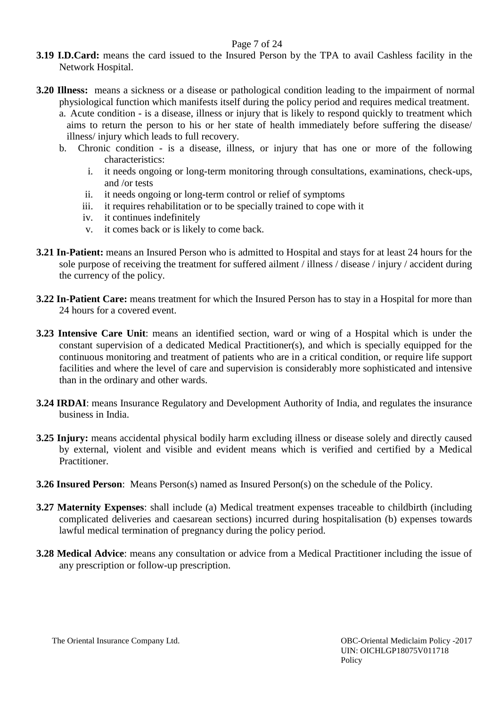### Page 7 of 24

- **3.19 I.D.Card:** means the card issued to the Insured Person by the TPA to avail Cashless facility in the Network Hospital.
- **3.20 Illness:** means a sickness or a disease or pathological condition leading to the impairment of normal physiological function which manifests itself during the policy period and requires medical treatment.
	- a. Acute condition is a disease, illness or injury that is likely to respond quickly to treatment which aims to return the person to his or her state of health immediately before suffering the disease/ illness/ injury which leads to full recovery.
	- b. Chronic condition is a disease, illness, or injury that has one or more of the following characteristics:
		- i. it needs ongoing or long-term monitoring through consultations, examinations, check-ups, and /or tests
		- ii. it needs ongoing or long-term control or relief of symptoms
		- iii. it requires rehabilitation or to be specially trained to cope with it
		- iv. it continues indefinitely
		- v. it comes back or is likely to come back.
- **3.21 In-Patient:** means an Insured Person who is admitted to Hospital and stays for at least 24 hours for the sole purpose of receiving the treatment for suffered ailment / illness / disease / injury / accident during the currency of the policy.
- **3.22 In-Patient Care:** means treatment for which the Insured Person has to stay in a Hospital for more than 24 hours for a covered event.
- **3.23 Intensive Care Unit**: means an identified section, ward or wing of a Hospital which is under the constant supervision of a dedicated Medical Practitioner(s), and which is specially equipped for the continuous monitoring and treatment of patients who are in a critical condition, or require life support facilities and where the level of care and supervision is considerably more sophisticated and intensive than in the ordinary and other wards.
- **3.24 IRDAI**: means Insurance Regulatory and Development Authority of India, and regulates the insurance business in India.
- **3.25 Injury:** means accidental physical bodily harm excluding illness or disease solely and directly caused by external, violent and visible and evident means which is verified and certified by a Medical Practitioner.
- **3.26 Insured Person**: Means Person(s) named as Insured Person(s) on the schedule of the Policy.
- **3.27 Maternity Expenses**: shall include (a) Medical treatment expenses traceable to childbirth (including complicated deliveries and caesarean sections) incurred during hospitalisation (b) expenses towards lawful medical termination of pregnancy during the policy period.
- **3.28 Medical Advice**: means any consultation or advice from a Medical Practitioner including the issue of any prescription or follow-up prescription.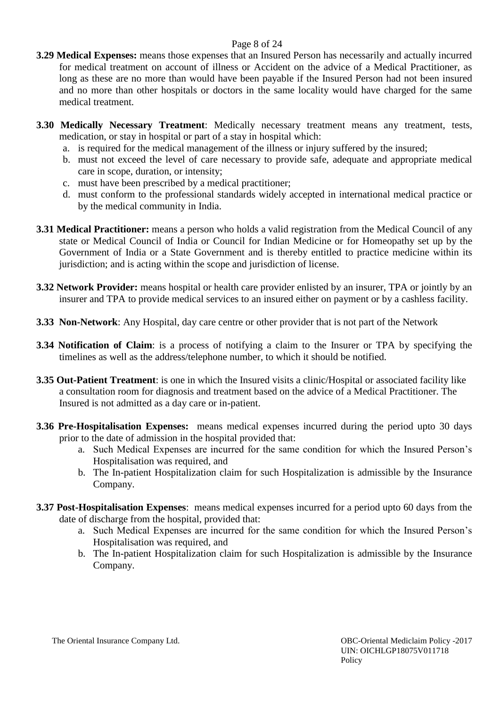## Page 8 of 24

- **3.29 Medical Expenses:** means those expenses that an Insured Person has necessarily and actually incurred for medical treatment on account of illness or Accident on the advice of a Medical Practitioner, as long as these are no more than would have been payable if the Insured Person had not been insured and no more than other hospitals or doctors in the same locality would have charged for the same medical treatment.
- **3.30 Medically Necessary Treatment**: Medically necessary treatment means any treatment, tests, medication, or stay in hospital or part of a stay in hospital which:
	- a. is required for the medical management of the illness or injury suffered by the insured;
	- b. must not exceed the level of care necessary to provide safe, adequate and appropriate medical care in scope, duration, or intensity;
	- c. must have been prescribed by a medical practitioner;
	- d. must conform to the professional standards widely accepted in international medical practice or by the medical community in India.
- **3.31 Medical Practitioner:** means a person who holds a valid registration from the Medical Council of any state or Medical Council of India or Council for Indian Medicine or for Homeopathy set up by the Government of India or a State Government and is thereby entitled to practice medicine within its jurisdiction; and is acting within the scope and jurisdiction of license.
- **3.32 Network Provider:** means hospital or health care provider enlisted by an insurer, TPA or jointly by an insurer and TPA to provide medical services to an insured either on payment or by a cashless facility.
- **3.33 Non-Network**: Any Hospital, day care centre or other provider that is not part of the Network
- **3.34 Notification of Claim**: is a process of notifying a claim to the Insurer or TPA by specifying the timelines as well as the address/telephone number, to which it should be notified.
- **3.35 Out-Patient Treatment**: is one in which the Insured visits a clinic/Hospital or associated facility like a consultation room for diagnosis and treatment based on the advice of a Medical Practitioner. The Insured is not admitted as a day care or in-patient.
- **3.36 Pre-Hospitalisation Expenses:** means medical expenses incurred during the period upto 30 days prior to the date of admission in the hospital provided that:
	- a. Such Medical Expenses are incurred for the same condition for which the Insured Person's Hospitalisation was required, and
	- b. The In-patient Hospitalization claim for such Hospitalization is admissible by the Insurance Company.
- **3.37 Post-Hospitalisation Expenses**: means medical expenses incurred for a period upto 60 days from the date of discharge from the hospital, provided that:
	- a. Such Medical Expenses are incurred for the same condition for which the Insured Person's Hospitalisation was required, and
	- b. The In-patient Hospitalization claim for such Hospitalization is admissible by the Insurance Company.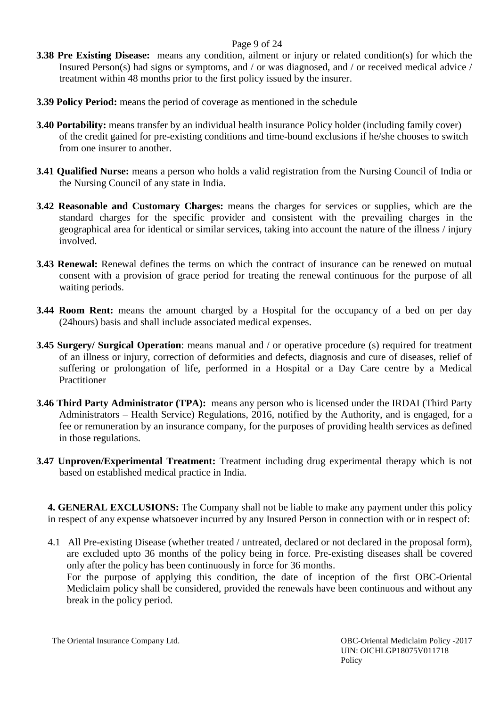### Page 9 of 24

- **3.38 Pre Existing Disease:** means any condition, ailment or injury or related condition(s) for which the Insured Person(s) had signs or symptoms, and / or was diagnosed, and / or received medical advice / treatment within 48 months prior to the first policy issued by the insurer.
- **3.39 Policy Period:** means the period of coverage as mentioned in the schedule
- **3.40 Portability:** means transfer by an individual health insurance Policy holder (including family cover) of the credit gained for pre-existing conditions and time-bound exclusions if he/she chooses to switch from one insurer to another.
- **3.41 Qualified Nurse:** means a person who holds a valid registration from the Nursing Council of India or the Nursing Council of any state in India.
- **3.42 Reasonable and Customary Charges:** means the charges for services or supplies, which are the standard charges for the specific provider and consistent with the prevailing charges in the geographical area for identical or similar services, taking into account the nature of the illness / injury involved.
- **3.43 Renewal:** Renewal defines the terms on which the contract of insurance can be renewed on mutual consent with a provision of grace period for treating the renewal continuous for the purpose of all waiting periods.
- **3.44 Room Rent:** means the amount charged by a Hospital for the occupancy of a bed on per day (24hours) basis and shall include associated medical expenses.
- **3.45 Surgery/ Surgical Operation**: means manual and / or operative procedure (s) required for treatment of an illness or injury, correction of deformities and defects, diagnosis and cure of diseases, relief of suffering or prolongation of life, performed in a Hospital or a Day Care centre by a Medical **Practitioner**
- **3.46 Third Party Administrator (TPA):** means any person who is licensed under the IRDAI (Third Party Administrators – Health Service) Regulations, 2016, notified by the Authority, and is engaged, for a fee or remuneration by an insurance company, for the purposes of providing health services as defined in those regulations.
- **3.47 Unproven/Experimental Treatment:** Treatment including drug experimental therapy which is not based on established medical practice in India.

**4. GENERAL EXCLUSIONS:** The Company shall not be liable to make any payment under this policy in respect of any expense whatsoever incurred by any Insured Person in connection with or in respect of:

4.1 All Pre-existing Disease (whether treated / untreated, declared or not declared in the proposal form), are excluded upto 36 months of the policy being in force. Pre-existing diseases shall be covered only after the policy has been continuously in force for 36 months.

For the purpose of applying this condition, the date of inception of the first OBC-Oriental Mediclaim policy shall be considered, provided the renewals have been continuous and without any break in the policy period.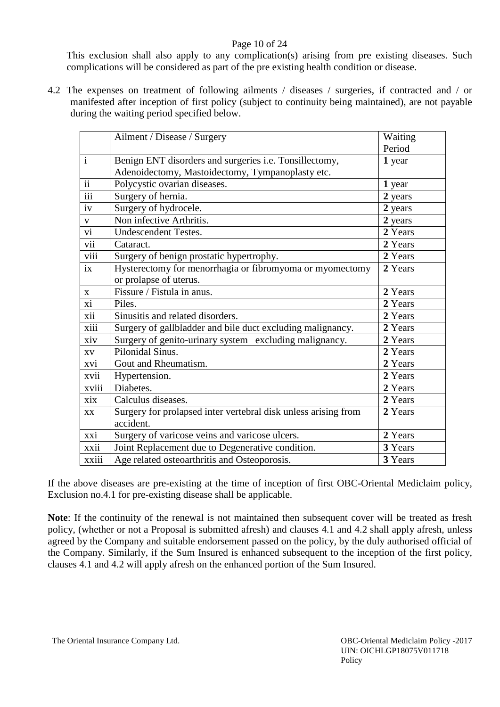## Page 10 of 24

This exclusion shall also apply to any complication(s) arising from pre existing diseases. Such complications will be considered as part of the pre existing health condition or disease.

4.2 The expenses on treatment of following ailments / diseases / surgeries, if contracted and / or manifested after inception of first policy (subject to continuity being maintained), are not payable during the waiting period specified below.

|                  | Ailment / Disease / Surgery                                    | Waiting |
|------------------|----------------------------------------------------------------|---------|
|                  |                                                                | Period  |
| $\mathbf{i}$     | Benign ENT disorders and surgeries i.e. Tonsillectomy,         | 1 year  |
|                  | Adenoidectomy, Mastoidectomy, Tympanoplasty etc.               |         |
| $\overline{ii}$  | Polycystic ovarian diseases.                                   | 1 year  |
| $\overline{iii}$ | Surgery of hernia.                                             | 2 years |
| iv               | Surgery of hydrocele.                                          | 2 years |
| $\mathbf V$      | Non infective Arthritis.                                       | 2 years |
| $\overline{vi}$  | <b>Undescendent Testes.</b>                                    | 2 Years |
| vii              | Cataract.                                                      | 2 Years |
| viii             | Surgery of benign prostatic hypertrophy.                       | 2 Years |
| ix               | Hysterectomy for menorrhagia or fibromyoma or myomectomy       | 2 Years |
|                  | or prolapse of uterus.                                         |         |
| $\mathbf{X}$     | Fissure / Fistula in anus.                                     | 2 Years |
| xi               | Piles.                                                         | 2 Years |
| xii              | Sinusitis and related disorders.                               | 2 Years |
| xiii             | Surgery of gallbladder and bile duct excluding malignancy.     | 2 Years |
| xiv              | Surgery of genito-urinary system excluding malignancy.         | 2 Years |
| XV               | Pilonidal Sinus.                                               | 2 Years |
| xvi              | Gout and Rheumatism.                                           | 2 Years |
| xvii             | Hypertension.                                                  | 2 Years |
| xviii            | Diabetes.                                                      | 2 Years |
| xix              | Calculus diseases.                                             | 2 Years |
| XX               | Surgery for prolapsed inter vertebral disk unless arising from | 2 Years |
|                  | accident.                                                      |         |
| xxi              | Surgery of varicose veins and varicose ulcers.                 | 2 Years |
| xxii             | Joint Replacement due to Degenerative condition.               | 3 Years |
| xxiii            | Age related osteoarthritis and Osteoporosis.                   | 3 Years |

If the above diseases are pre-existing at the time of inception of first OBC-Oriental Mediclaim policy, Exclusion no.4.1 for pre-existing disease shall be applicable.

**Note**: If the continuity of the renewal is not maintained then subsequent cover will be treated as fresh policy, (whether or not a Proposal is submitted afresh) and clauses 4.1 and 4.2 shall apply afresh, unless agreed by the Company and suitable endorsement passed on the policy, by the duly authorised official of the Company. Similarly, if the Sum Insured is enhanced subsequent to the inception of the first policy, clauses 4.1 and 4.2 will apply afresh on the enhanced portion of the Sum Insured.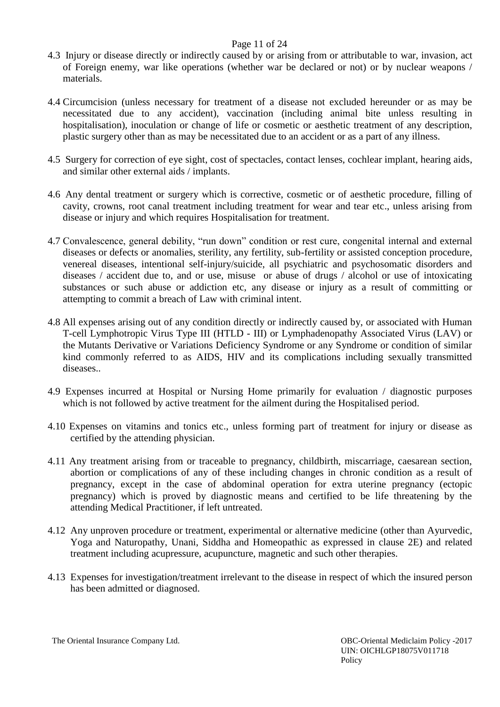### Page 11 of 24

- 4.3 Injury or disease directly or indirectly caused by or arising from or attributable to war, invasion, act of Foreign enemy, war like operations (whether war be declared or not) or by nuclear weapons / materials.
- 4.4 Circumcision (unless necessary for treatment of a disease not excluded hereunder or as may be necessitated due to any accident), vaccination (including animal bite unless resulting in hospitalisation), inoculation or change of life or cosmetic or aesthetic treatment of any description, plastic surgery other than as may be necessitated due to an accident or as a part of any illness.
- 4.5 Surgery for correction of eye sight, cost of spectacles, contact lenses, cochlear implant, hearing aids, and similar other external aids / implants.
- 4.6 Any dental treatment or surgery which is corrective, cosmetic or of aesthetic procedure, filling of cavity, crowns, root canal treatment including treatment for wear and tear etc., unless arising from disease or injury and which requires Hospitalisation for treatment.
- 4.7 Convalescence, general debility, "run down" condition or rest cure, congenital internal and external diseases or defects or anomalies, sterility, any fertility, sub-fertility or assisted conception procedure, venereal diseases, intentional self-injury/suicide, all psychiatric and psychosomatic disorders and diseases / accident due to, and or use, misuse or abuse of drugs / alcohol or use of intoxicating substances or such abuse or addiction etc, any disease or injury as a result of committing or attempting to commit a breach of Law with criminal intent.
- 4.8 All expenses arising out of any condition directly or indirectly caused by, or associated with Human T-cell Lymphotropic Virus Type III (HTLD - III) or Lymphadenopathy Associated Virus (LAV) or the Mutants Derivative or Variations Deficiency Syndrome or any Syndrome or condition of similar kind commonly referred to as AIDS, HIV and its complications including sexually transmitted diseases..
- 4.9 Expenses incurred at Hospital or Nursing Home primarily for evaluation / diagnostic purposes which is not followed by active treatment for the ailment during the Hospitalised period.
- 4.10 Expenses on vitamins and tonics etc., unless forming part of treatment for injury or disease as certified by the attending physician.
- 4.11 Any treatment arising from or traceable to pregnancy, childbirth, miscarriage, caesarean section, abortion or complications of any of these including changes in chronic condition as a result of pregnancy, except in the case of abdominal operation for extra uterine pregnancy (ectopic pregnancy) which is proved by diagnostic means and certified to be life threatening by the attending Medical Practitioner, if left untreated.
- 4.12 Any unproven procedure or treatment, experimental or alternative medicine (other than Ayurvedic, Yoga and Naturopathy, Unani, Siddha and Homeopathic as expressed in clause 2E) and related treatment including acupressure, acupuncture, magnetic and such other therapies.
- 4.13 Expenses for investigation/treatment irrelevant to the disease in respect of which the insured person has been admitted or diagnosed.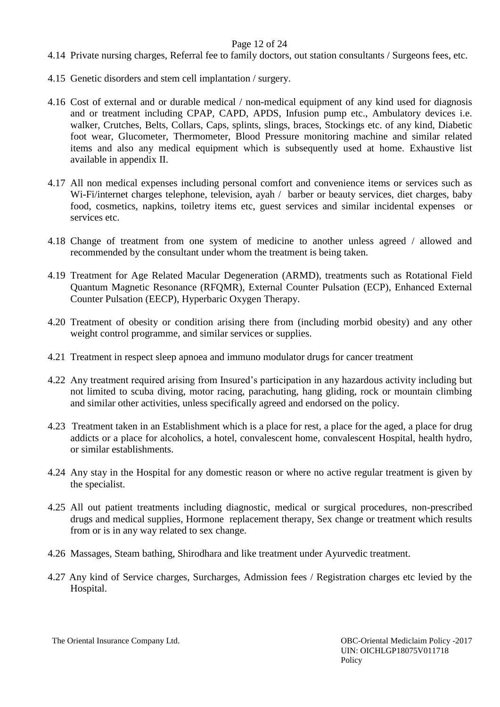#### Page 12 of 24

- 4.14 Private nursing charges, Referral fee to family doctors, out station consultants / Surgeons fees, etc.
- 4.15 Genetic disorders and stem cell implantation / surgery.
- 4.16 Cost of external and or durable medical / non-medical equipment of any kind used for diagnosis and or treatment including CPAP, CAPD, APDS, Infusion pump etc., Ambulatory devices i.e. walker, Crutches, Belts, Collars, Caps, splints, slings, braces, Stockings etc. of any kind, Diabetic foot wear, Glucometer, Thermometer, Blood Pressure monitoring machine and similar related items and also any medical equipment which is subsequently used at home. Exhaustive list available in appendix II.
- 4.17 All non medical expenses including personal comfort and convenience items or services such as Wi-Fi/internet charges telephone, television, ayah / barber or beauty services, diet charges, baby food, cosmetics, napkins, toiletry items etc, guest services and similar incidental expenses or services etc.
- 4.18 Change of treatment from one system of medicine to another unless agreed / allowed and recommended by the consultant under whom the treatment is being taken.
- 4.19 Treatment for Age Related Macular Degeneration (ARMD), treatments such as Rotational Field Quantum Magnetic Resonance (RFQMR), External Counter Pulsation (ECP), Enhanced External Counter Pulsation (EECP), Hyperbaric Oxygen Therapy.
- 4.20 Treatment of obesity or condition arising there from (including morbid obesity) and any other weight control programme, and similar services or supplies.
- 4.21 Treatment in respect sleep apnoea and immuno modulator drugs for cancer treatment
- 4.22 Any treatment required arising from Insured's participation in any hazardous activity including but not limited to scuba diving, motor racing, parachuting, hang gliding, rock or mountain climbing and similar other activities, unless specifically agreed and endorsed on the policy.
- 4.23 Treatment taken in an Establishment which is a place for rest, a place for the aged, a place for drug addicts or a place for alcoholics, a hotel, convalescent home, convalescent Hospital, health hydro, or similar establishments.
- 4.24 Any stay in the Hospital for any domestic reason or where no active regular treatment is given by the specialist.
- 4.25 All out patient treatments including diagnostic, medical or surgical procedures, non-prescribed drugs and medical supplies, Hormone replacement therapy, Sex change or treatment which results from or is in any way related to sex change.
- 4.26 Massages, Steam bathing, Shirodhara and like treatment under Ayurvedic treatment.
- 4.27 Any kind of Service charges, Surcharges, Admission fees / Registration charges etc levied by the Hospital.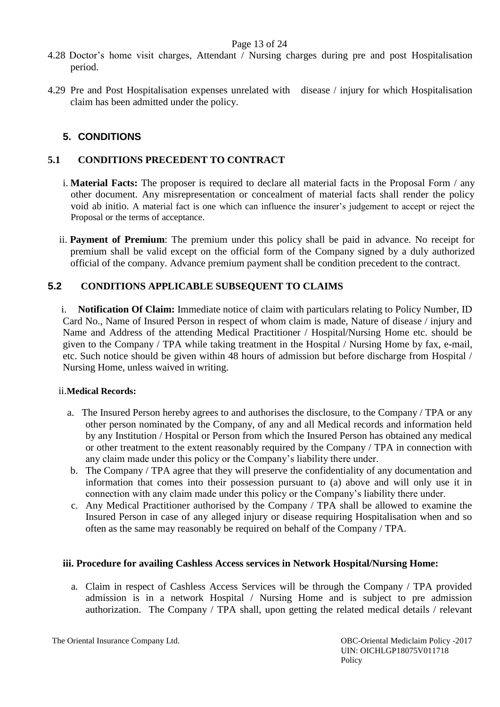#### Page 13 of 24

- 4.28 Doctor's home visit charges, Attendant / Nursing charges during pre and post Hospitalisation period.
- 4.29 Pre and Post Hospitalisation expenses unrelated with disease / injury for which Hospitalisation claim has been admitted under the policy.

# **5. CONDITIONS**

# **5.1 CONDITIONS PRECEDENT TO CONTRACT**

- i. **Material Facts:** The proposer is required to declare all material facts in the Proposal Form / any other document. Any misrepresentation or concealment of material facts shall render the policy void ab initio. A material fact is one which can influence the insurer's judgement to accept or reject the Proposal or the terms of acceptance.
- ii. **Payment of Premium**: The premium under this policy shall be paid in advance. No receipt for premium shall be valid except on the official form of the Company signed by a duly authorized official of the company. Advance premium payment shall be condition precedent to the contract.

# **5.2 CONDITIONS APPLICABLE SUBSEQUENT TO CLAIMS**

i. **Notification Of Claim:** Immediate notice of claim with particulars relating to Policy Number, ID Card No., Name of Insured Person in respect of whom claim is made, Nature of disease / injury and Name and Address of the attending Medical Practitioner / Hospital/Nursing Home etc. should be given to the Company / TPA while taking treatment in the Hospital / Nursing Home by fax, e-mail, etc. Such notice should be given within 48 hours of admission but before discharge from Hospital / Nursing Home, unless waived in writing.

#### ii.**Medical Records:**

- a. The Insured Person hereby agrees to and authorises the disclosure, to the Company / TPA or any other person nominated by the Company, of any and all Medical records and information held by any Institution / Hospital or Person from which the Insured Person has obtained any medical or other treatment to the extent reasonably required by the Company / TPA in connection with any claim made under this policy or the Company's liability there under.
- b. The Company / TPA agree that they will preserve the confidentiality of any documentation and information that comes into their possession pursuant to (a) above and will only use it in connection with any claim made under this policy or the Company's liability there under.
- c. Any Medical Practitioner authorised by the Company / TPA shall be allowed to examine the Insured Person in case of any alleged injury or disease requiring Hospitalisation when and so often as the same may reasonably be required on behalf of the Company / TPA.

#### **iii. Procedure for availing Cashless Access services in Network Hospital/Nursing Home:**

a. Claim in respect of Cashless Access Services will be through the Company / TPA provided admission is in a network Hospital / Nursing Home and is subject to pre admission authorization. The Company / TPA shall, upon getting the related medical details / relevant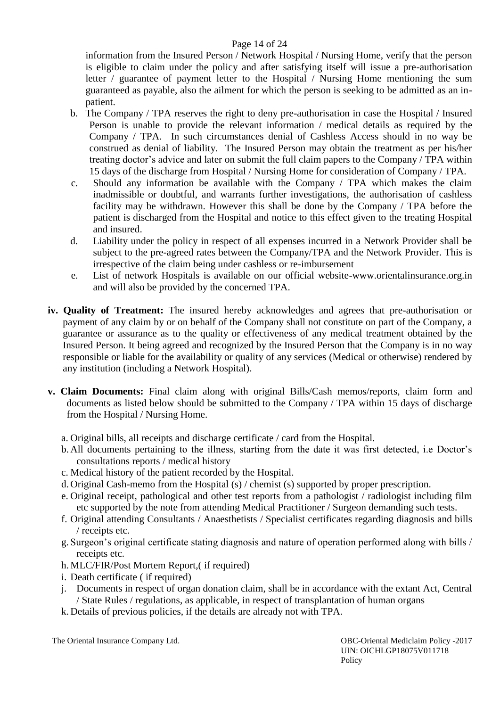# Page 14 of 24

information from the Insured Person / Network Hospital / Nursing Home, verify that the person is eligible to claim under the policy and after satisfying itself will issue a pre-authorisation letter / guarantee of payment letter to the Hospital / Nursing Home mentioning the sum guaranteed as payable, also the ailment for which the person is seeking to be admitted as an inpatient.

- b. The Company / TPA reserves the right to deny pre-authorisation in case the Hospital / Insured Person is unable to provide the relevant information / medical details as required by the Company / TPA. In such circumstances denial of Cashless Access should in no way be construed as denial of liability. The Insured Person may obtain the treatment as per his/her treating doctor's advice and later on submit the full claim papers to the Company / TPA within 15 days of the discharge from Hospital / Nursing Home for consideration of Company / TPA.
- c. Should any information be available with the Company / TPA which makes the claim inadmissible or doubtful, and warrants further investigations, the authorisation of cashless facility may be withdrawn. However this shall be done by the Company / TPA before the patient is discharged from the Hospital and notice to this effect given to the treating Hospital and insured.
- d. Liability under the policy in respect of all expenses incurred in a Network Provider shall be subject to the pre-agreed rates between the Company/TPA and the Network Provider. This is irrespective of the claim being under cashless or re-imbursement
- e. List of network Hospitals is available on our official website-www.orientalinsurance.org.in and will also be provided by the concerned TPA.
- **iv. Quality of Treatment:** The insured hereby acknowledges and agrees that pre-authorisation or payment of any claim by or on behalf of the Company shall not constitute on part of the Company, a guarantee or assurance as to the quality or effectiveness of any medical treatment obtained by the Insured Person. It being agreed and recognized by the Insured Person that the Company is in no way responsible or liable for the availability or quality of any services (Medical or otherwise) rendered by any institution (including a Network Hospital).
- **v. Claim Documents:** Final claim along with original Bills/Cash memos/reports, claim form and documents as listed below should be submitted to the Company / TPA within 15 days of discharge from the Hospital / Nursing Home.
	- a. Original bills, all receipts and discharge certificate / card from the Hospital.
	- b. All documents pertaining to the illness, starting from the date it was first detected, i.e Doctor's consultations reports / medical history
	- c. Medical history of the patient recorded by the Hospital.
	- d. Original Cash-memo from the Hospital (s) / chemist (s) supported by proper prescription.
	- e. Original receipt, pathological and other test reports from a pathologist / radiologist including film etc supported by the note from attending Medical Practitioner / Surgeon demanding such tests.
	- f. Original attending Consultants / Anaesthetists / Specialist certificates regarding diagnosis and bills / receipts etc.
	- g. Surgeon's original certificate stating diagnosis and nature of operation performed along with bills / receipts etc.
	- h. MLC/FIR/Post Mortem Report,( if required)
	- i. Death certificate ( if required)
	- j. Documents in respect of organ donation claim, shall be in accordance with the extant Act, Central / State Rules / regulations, as applicable, in respect of transplantation of human organs
	- k. Details of previous policies, if the details are already not with TPA.

The Oriental Insurance Company Ltd. OBC-Oriental Mediclaim Policy -2017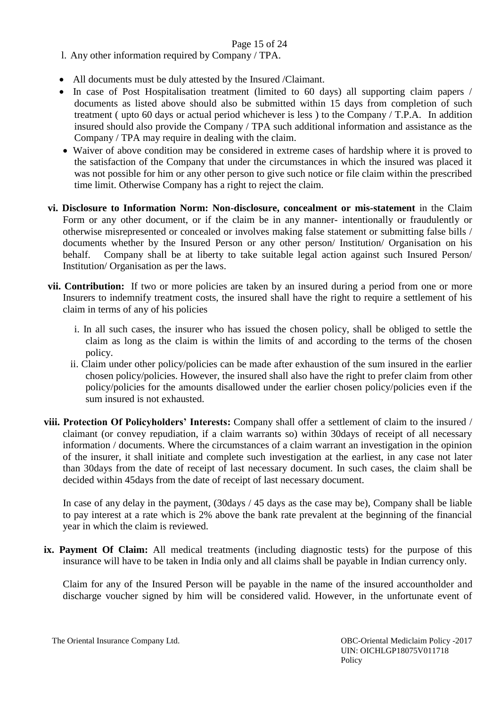## Page 15 of 24

- l. Any other information required by Company / TPA.
- All documents must be duly attested by the Insured /Claimant.
- In case of Post Hospitalisation treatment (limited to 60 days) all supporting claim papers / documents as listed above should also be submitted within 15 days from completion of such treatment ( upto 60 days or actual period whichever is less ) to the Company / T.P.A. In addition insured should also provide the Company / TPA such additional information and assistance as the Company / TPA may require in dealing with the claim.
- Waiver of above condition may be considered in extreme cases of hardship where it is proved to the satisfaction of the Company that under the circumstances in which the insured was placed it was not possible for him or any other person to give such notice or file claim within the prescribed time limit. Otherwise Company has a right to reject the claim.
- **vi. Disclosure to Information Norm: Non-disclosure, concealment or mis-statement** in the Claim Form or any other document, or if the claim be in any manner- intentionally or fraudulently or otherwise misrepresented or concealed or involves making false statement or submitting false bills / documents whether by the Insured Person or any other person/ Institution/ Organisation on his behalf. Company shall be at liberty to take suitable legal action against such Insured Person/ Institution/ Organisation as per the laws.
- **vii. Contribution:** If two or more policies are taken by an insured during a period from one or more Insurers to indemnify treatment costs, the insured shall have the right to require a settlement of his claim in terms of any of his policies
	- i. In all such cases, the insurer who has issued the chosen policy, shall be obliged to settle the claim as long as the claim is within the limits of and according to the terms of the chosen policy.
	- ii. Claim under other policy/policies can be made after exhaustion of the sum insured in the earlier chosen policy/policies. However, the insured shall also have the right to prefer claim from other policy/policies for the amounts disallowed under the earlier chosen policy/policies even if the sum insured is not exhausted.
- **viii. Protection Of Policyholders' Interests:** Company shall offer a settlement of claim to the insured / claimant (or convey repudiation, if a claim warrants so) within 30days of receipt of all necessary information / documents. Where the circumstances of a claim warrant an investigation in the opinion of the insurer, it shall initiate and complete such investigation at the earliest, in any case not later than 30days from the date of receipt of last necessary document. In such cases, the claim shall be decided within 45days from the date of receipt of last necessary document.

 In case of any delay in the payment, (30days / 45 days as the case may be), Company shall be liable to pay interest at a rate which is 2% above the bank rate prevalent at the beginning of the financial year in which the claim is reviewed.

**ix. Payment Of Claim:** All medical treatments (including diagnostic tests) for the purpose of this insurance will have to be taken in India only and all claims shall be payable in Indian currency only.

Claim for any of the Insured Person will be payable in the name of the insured accountholder and discharge voucher signed by him will be considered valid. However, in the unfortunate event of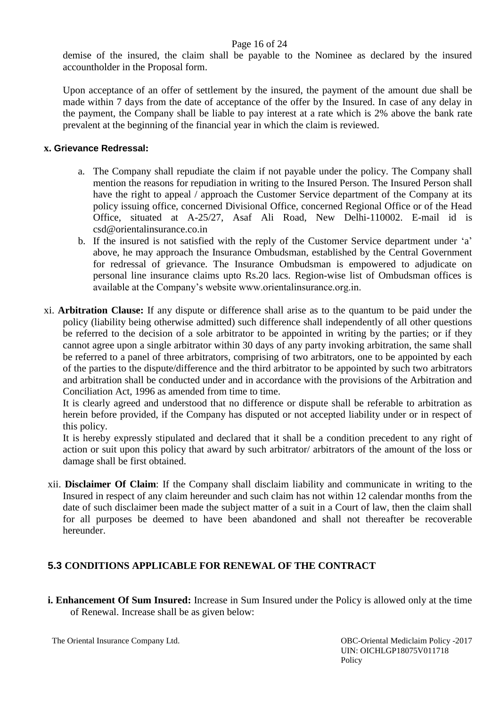#### Page 16 of 24

demise of the insured, the claim shall be payable to the Nominee as declared by the insured accountholder in the Proposal form.

Upon acceptance of an offer of settlement by the insured, the payment of the amount due shall be made within 7 days from the date of acceptance of the offer by the Insured. In case of any delay in the payment, the Company shall be liable to pay interest at a rate which is 2% above the bank rate prevalent at the beginning of the financial year in which the claim is reviewed.

#### **x. Grievance Redressal:**

- a. The Company shall repudiate the claim if not payable under the policy. The Company shall mention the reasons for repudiation in writing to the Insured Person. The Insured Person shall have the right to appeal / approach the Customer Service department of the Company at its policy issuing office, concerned Divisional Office, concerned Regional Office or of the Head Office, situated at A-25/27, Asaf Ali Road, New Delhi-110002. E-mail id is csd@orientalinsurance.co.in
- b. If the insured is not satisfied with the reply of the Customer Service department under 'a' above, he may approach the Insurance Ombudsman, established by the Central Government for redressal of grievance. The Insurance Ombudsman is empowered to adjudicate on personal line insurance claims upto Rs.20 lacs. Region-wise list of Ombudsman offices is available at the Company's website www.orientalinsurance.org.in.
- xi. **Arbitration Clause:** If any dispute or difference shall arise as to the quantum to be paid under the policy (liability being otherwise admitted) such difference shall independently of all other questions be referred to the decision of a sole arbitrator to be appointed in writing by the parties; or if they cannot agree upon a single arbitrator within 30 days of any party invoking arbitration, the same shall be referred to a panel of three arbitrators, comprising of two arbitrators, one to be appointed by each of the parties to the dispute/difference and the third arbitrator to be appointed by such two arbitrators and arbitration shall be conducted under and in accordance with the provisions of the Arbitration and Conciliation Act, 1996 as amended from time to time.

It is clearly agreed and understood that no difference or dispute shall be referable to arbitration as herein before provided, if the Company has disputed or not accepted liability under or in respect of this policy.

It is hereby expressly stipulated and declared that it shall be a condition precedent to any right of action or suit upon this policy that award by such arbitrator/ arbitrators of the amount of the loss or damage shall be first obtained.

xii. **Disclaimer Of Claim**: If the Company shall disclaim liability and communicate in writing to the Insured in respect of any claim hereunder and such claim has not within 12 calendar months from the date of such disclaimer been made the subject matter of a suit in a Court of law, then the claim shall for all purposes be deemed to have been abandoned and shall not thereafter be recoverable hereunder.

# **5.3 CONDITIONS APPLICABLE FOR RENEWAL OF THE CONTRACT**

**i. Enhancement Of Sum Insured:** Increase in Sum Insured under the Policy is allowed only at the time of Renewal. Increase shall be as given below: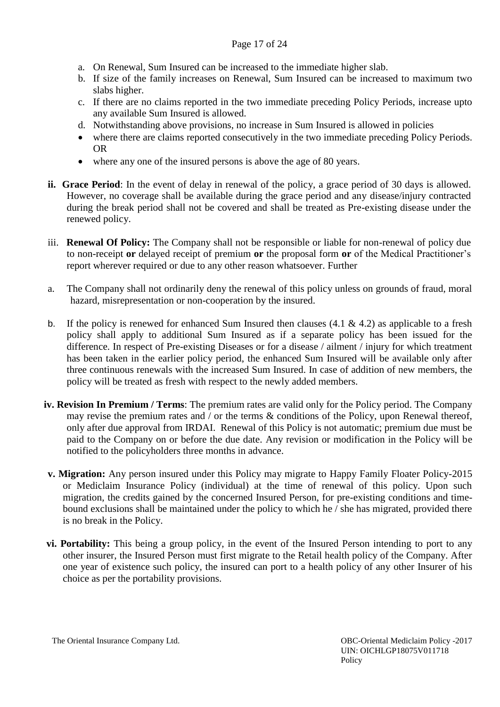## Page 17 of 24

- a. On Renewal, Sum Insured can be increased to the immediate higher slab.
- b. If size of the family increases on Renewal, Sum Insured can be increased to maximum two slabs higher.
- c. If there are no claims reported in the two immediate preceding Policy Periods, increase upto any available Sum Insured is allowed.
- d. Notwithstanding above provisions, no increase in Sum Insured is allowed in policies
- where there are claims reported consecutively in the two immediate preceding Policy Periods. OR
- where any one of the insured persons is above the age of 80 years.
- **ii. Grace Period**: In the event of delay in renewal of the policy, a grace period of 30 days is allowed. However, no coverage shall be available during the grace period and any disease/injury contracted during the break period shall not be covered and shall be treated as Pre-existing disease under the renewed policy.
- iii. **Renewal Of Policy:** The Company shall not be responsible or liable for non-renewal of policy due to non-receipt **or** delayed receipt of premium **or** the proposal form **or** of the Medical Practitioner's report wherever required or due to any other reason whatsoever. Further
- a. The Company shall not ordinarily deny the renewal of this policy unless on grounds of fraud, moral hazard, misrepresentation or non-cooperation by the insured.
- b. If the policy is renewed for enhanced Sum Insured then clauses  $(4.1 \& 4.2)$  as applicable to a fresh policy shall apply to additional Sum Insured as if a separate policy has been issued for the difference. In respect of Pre-existing Diseases or for a disease / ailment / injury for which treatment has been taken in the earlier policy period, the enhanced Sum Insured will be available only after three continuous renewals with the increased Sum Insured. In case of addition of new members, the policy will be treated as fresh with respect to the newly added members.
- **iv. Revision In Premium / Terms**: The premium rates are valid only for the Policy period. The Company may revise the premium rates and / or the terms & conditions of the Policy, upon Renewal thereof, only after due approval from IRDAI. Renewal of this Policy is not automatic; premium due must be paid to the Company on or before the due date. Any revision or modification in the Policy will be notified to the policyholders three months in advance.
- **v. Migration:** Any person insured under this Policy may migrate to Happy Family Floater Policy-2015 or Mediclaim Insurance Policy (individual) at the time of renewal of this policy. Upon such migration, the credits gained by the concerned Insured Person, for pre-existing conditions and timebound exclusions shall be maintained under the policy to which he / she has migrated, provided there is no break in the Policy.
- **vi. Portability:** This being a group policy, in the event of the Insured Person intending to port to any other insurer, the Insured Person must first migrate to the Retail health policy of the Company. After one year of existence such policy, the insured can port to a health policy of any other Insurer of his choice as per the portability provisions.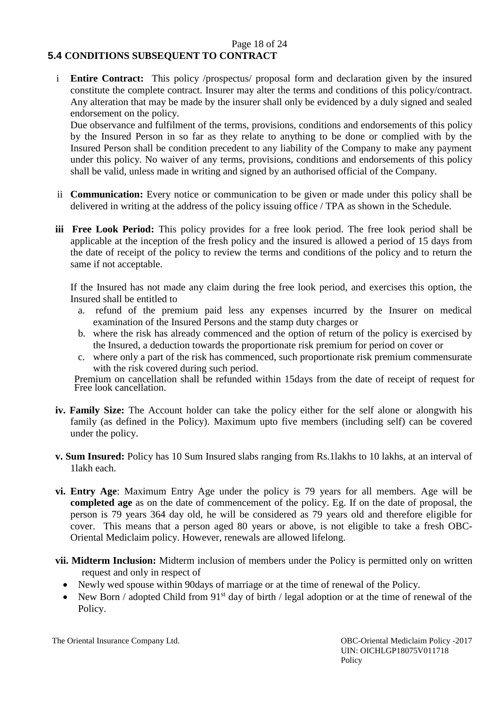#### Page 18 of 24 **5.4 CONDITIONS SUBSEQUENT TO CONTRACT**

i **Entire Contract:** This policy /prospectus/ proposal form and declaration given by the insured constitute the complete contract. Insurer may alter the terms and conditions of this policy/contract. Any alteration that may be made by the insurer shall only be evidenced by a duly signed and sealed endorsement on the policy.

Due observance and fulfilment of the terms, provisions, conditions and endorsements of this policy by the Insured Person in so far as they relate to anything to be done or complied with by the Insured Person shall be condition precedent to any liability of the Company to make any payment under this policy. No waiver of any terms, provisions, conditions and endorsements of this policy shall be valid, unless made in writing and signed by an authorised official of the Company.

- ii **Communication:** Every notice or communication to be given or made under this policy shall be delivered in writing at the address of the policy issuing office / TPA as shown in the Schedule.
- **iii Free Look Period:** This policy provides for a free look period. The free look period shall be applicable at the inception of the fresh policy and the insured is allowed a period of 15 days from the date of receipt of the policy to review the terms and conditions of the policy and to return the same if not acceptable.

If the Insured has not made any claim during the free look period, and exercises this option, the Insured shall be entitled to

- a. refund of the premium paid less any expenses incurred by the Insurer on medical examination of the Insured Persons and the stamp duty charges or
- b. where the risk has already commenced and the option of return of the policy is exercised by the Insured, a deduction towards the proportionate risk premium for period on cover or
- c. where only a part of the risk has commenced, such proportionate risk premium commensurate with the risk covered during such period.

Premium on cancellation shall be refunded within 15days from the date of receipt of request for Free look cancellation.

- **iv. Family Size:** The Account holder can take the policy either for the self alone or alongwith his family (as defined in the Policy). Maximum upto five members (including self) can be covered under the policy.
- **v. Sum Insured:** Policy has 10 Sum Insured slabs ranging from Rs.1lakhs to 10 lakhs, at an interval of 1lakh each.
- **vi. Entry Age**: Maximum Entry Age under the policy is 79 years for all members. Age will be **completed age** as on the date of commencement of the policy. Eg. If on the date of proposal, the person is 79 years 364 day old, he will be considered as 79 years old and therefore eligible for cover. This means that a person aged 80 years or above, is not eligible to take a fresh OBC-Oriental Mediclaim policy. However, renewals are allowed lifelong.
- **vii. Midterm Inclusion:** Midterm inclusion of members under the Policy is permitted only on written request and only in respect of
	- Newly wed spouse within 90days of marriage or at the time of renewal of the Policy.
	- New Born / adopted Child from  $91<sup>st</sup>$  day of birth / legal adoption or at the time of renewal of the Policy.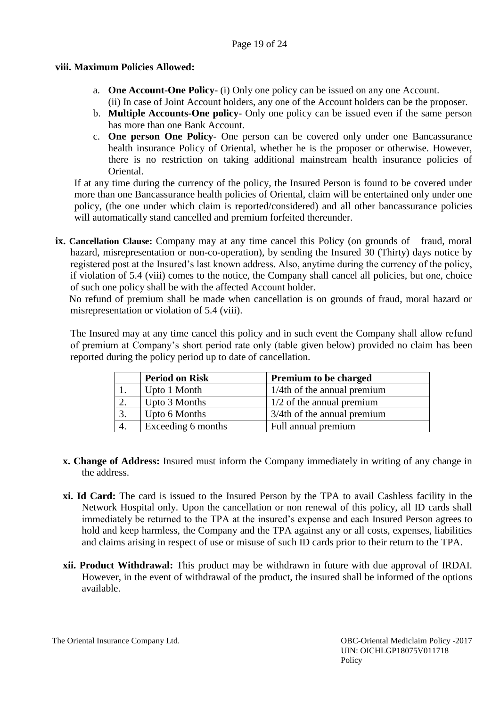### Page 19 of 24

## **viii. Maximum Policies Allowed:**

- a. **One Account-One Policy** (i) Only one policy can be issued on any one Account. (ii) In case of Joint Account holders, any one of the Account holders can be the proposer.
- b. **Multiple Accounts-One policy** Only one policy can be issued even if the same person has more than one Bank Account.
- c. **One person One Policy** One person can be covered only under one Bancassurance health insurance Policy of Oriental, whether he is the proposer or otherwise. However, there is no restriction on taking additional mainstream health insurance policies of Oriental.

If at any time during the currency of the policy, the Insured Person is found to be covered under more than one Bancassurance health policies of Oriental, claim will be entertained only under one policy, (the one under which claim is reported/considered) and all other bancassurance policies will automatically stand cancelled and premium forfeited thereunder.

**ix. Cancellation Clause:** Company may at any time cancel this Policy (on grounds of fraud, moral hazard, misrepresentation or non-co-operation), by sending the Insured 30 (Thirty) days notice by registered post at the Insured's last known address. Also, anytime during the currency of the policy, if violation of 5.4 (viii) comes to the notice, the Company shall cancel all policies, but one, choice of such one policy shall be with the affected Account holder.

No refund of premium shall be made when cancellation is on grounds of fraud, moral hazard or misrepresentation or violation of 5.4 (viii).

The Insured may at any time cancel this policy and in such event the Company shall allow refund of premium at Company's short period rate only (table given below) provided no claim has been reported during the policy period up to date of cancellation.

|    | <b>Period on Risk</b> | <b>Premium to be charged</b>   |
|----|-----------------------|--------------------------------|
|    | Upto 1 Month          | $1/4$ th of the annual premium |
|    | Upto 3 Months         | $1/2$ of the annual premium    |
| 3  | Upto 6 Months         | 3/4th of the annual premium    |
| 4. | Exceeding 6 months    | Full annual premium            |

- **x. Change of Address:** Insured must inform the Company immediately in writing of any change in the address.
- **xi. Id Card:** The card is issued to the Insured Person by the TPA to avail Cashless facility in the Network Hospital only. Upon the cancellation or non renewal of this policy, all ID cards shall immediately be returned to the TPA at the insured's expense and each Insured Person agrees to hold and keep harmless, the Company and the TPA against any or all costs, expenses, liabilities and claims arising in respect of use or misuse of such ID cards prior to their return to the TPA.
- **xii. Product Withdrawal:** This product may be withdrawn in future with due approval of IRDAI. However, in the event of withdrawal of the product, the insured shall be informed of the options available.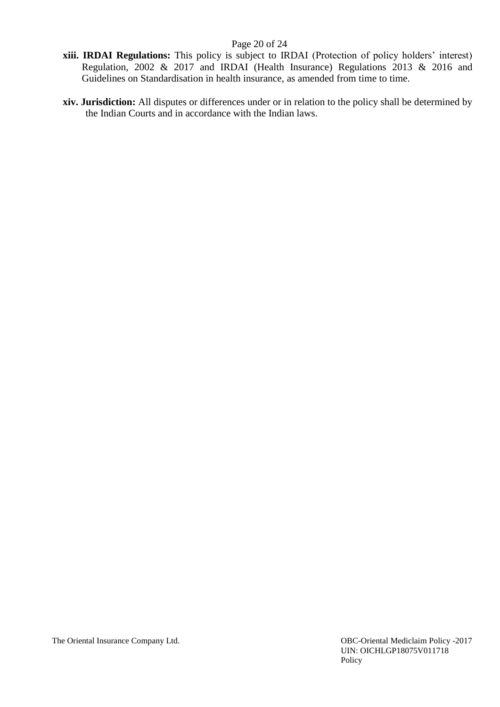### Page 20 of 24

- **xiii. IRDAI Regulations:** This policy is subject to IRDAI (Protection of policy holders' interest) Regulation, 2002 & 2017 and IRDAI (Health Insurance) Regulations 2013 & 2016 and Guidelines on Standardisation in health insurance, as amended from time to time.
- **xiv. Jurisdiction:** All disputes or differences under or in relation to the policy shall be determined by the Indian Courts and in accordance with the Indian laws.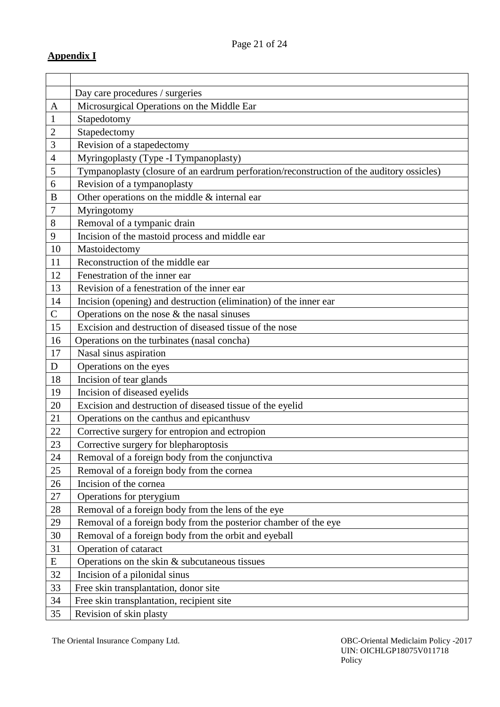|                | Day care procedures / surgeries                                                           |
|----------------|-------------------------------------------------------------------------------------------|
| A              | Microsurgical Operations on the Middle Ear                                                |
| $\mathbf{1}$   | Stapedotomy                                                                               |
| $\mathbf{2}$   | Stapedectomy                                                                              |
| 3              | Revision of a stapedectomy                                                                |
| $\overline{4}$ | Myringoplasty (Type -I Tympanoplasty)                                                     |
| 5              | Tympanoplasty (closure of an eardrum perforation/reconstruction of the auditory ossicles) |
| 6              | Revision of a tympanoplasty                                                               |
| B              | Other operations on the middle & internal ear                                             |
| 7              | Myringotomy                                                                               |
| $8\,$          | Removal of a tympanic drain                                                               |
| 9              | Incision of the mastoid process and middle ear                                            |
| 10             | Mastoidectomy                                                                             |
| 11             | Reconstruction of the middle ear                                                          |
| 12             | Fenestration of the inner ear                                                             |
| 13             | Revision of a fenestration of the inner ear                                               |
| 14             | Incision (opening) and destruction (elimination) of the inner ear                         |
| $\mathsf{C}$   | Operations on the nose $&$ the nasal sinuses                                              |
| 15             | Excision and destruction of diseased tissue of the nose                                   |
| 16             | Operations on the turbinates (nasal concha)                                               |
| 17             | Nasal sinus aspiration                                                                    |
| D              | Operations on the eyes                                                                    |
| 18             | Incision of tear glands                                                                   |
| 19             | Incision of diseased eyelids                                                              |
| 20             | Excision and destruction of diseased tissue of the eyelid                                 |
| 21             | Operations on the canthus and epicanthus v                                                |
| 22             | Corrective surgery for entropion and ectropion                                            |
| 23             | Corrective surgery for blepharoptosis                                                     |
| 24             | Removal of a foreign body from the conjunctiva                                            |
| 25             | Removal of a foreign body from the cornea                                                 |
| 26             | Incision of the cornea                                                                    |
| 27             | Operations for pterygium                                                                  |
| 28             | Removal of a foreign body from the lens of the eye                                        |
| 29             | Removal of a foreign body from the posterior chamber of the eye                           |
| 30             | Removal of a foreign body from the orbit and eyeball                                      |
| 31             | Operation of cataract                                                                     |
| E              | Operations on the skin $&$ subcutaneous tissues                                           |
| 32             | Incision of a pilonidal sinus                                                             |
| 33             | Free skin transplantation, donor site                                                     |
| 34             | Free skin transplantation, recipient site                                                 |
| 35             | Revision of skin plasty                                                                   |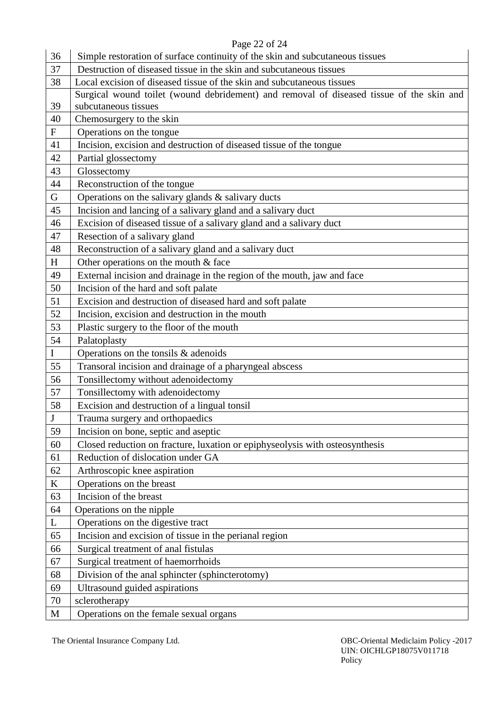# Page 22 of 24

| 36                        | Simple restoration of surface continuity of the skin and subcutaneous tissues            |
|---------------------------|------------------------------------------------------------------------------------------|
| 37                        | Destruction of diseased tissue in the skin and subcutaneous tissues                      |
| 38                        | Local excision of diseased tissue of the skin and subcutaneous tissues                   |
|                           | Surgical wound toilet (wound debridement) and removal of diseased tissue of the skin and |
| 39                        | subcutaneous tissues                                                                     |
| 40                        | Chemosurgery to the skin                                                                 |
| $\boldsymbol{\mathrm{F}}$ | Operations on the tongue                                                                 |
| 41                        | Incision, excision and destruction of diseased tissue of the tongue                      |
| 42                        | Partial glossectomy                                                                      |
| 43                        | Glossectomy                                                                              |
| 44                        | Reconstruction of the tongue                                                             |
| G                         | Operations on the salivary glands & salivary ducts                                       |
| 45                        | Incision and lancing of a salivary gland and a salivary duct                             |
| 46                        | Excision of diseased tissue of a salivary gland and a salivary duct                      |
| 47                        | Resection of a salivary gland                                                            |
| 48                        | Reconstruction of a salivary gland and a salivary duct                                   |
| H                         | Other operations on the mouth $&$ face                                                   |
| 49                        | External incision and drainage in the region of the mouth, jaw and face                  |
| 50                        | Incision of the hard and soft palate                                                     |
| 51                        | Excision and destruction of diseased hard and soft palate                                |
| 52                        | Incision, excision and destruction in the mouth                                          |
| 53                        | Plastic surgery to the floor of the mouth                                                |
| 54                        | Palatoplasty                                                                             |
| $\bf{I}$                  | Operations on the tonsils & adenoids                                                     |
| 55                        | Transoral incision and drainage of a pharyngeal abscess                                  |
| 56                        | Tonsillectomy without adenoidectomy                                                      |
| 57                        | Tonsillectomy with adenoidectomy                                                         |
| 58                        | Excision and destruction of a lingual tonsil                                             |
| $\bf J$                   | Trauma surgery and orthopaedics                                                          |
| 59                        | Incision on bone, septic and aseptic                                                     |
| 60                        | Closed reduction on fracture, luxation or epiphyseolysis with osteosynthesis             |
| 61                        | Reduction of dislocation under GA                                                        |
| 62                        | Arthroscopic knee aspiration                                                             |
| $\bf K$                   | Operations on the breast                                                                 |
| 63                        | Incision of the breast                                                                   |
| 64                        | Operations on the nipple                                                                 |
| L                         | Operations on the digestive tract                                                        |
| 65                        | Incision and excision of tissue in the perianal region                                   |
| 66                        | Surgical treatment of anal fistulas                                                      |
| 67                        | Surgical treatment of haemorrhoids                                                       |
| 68                        | Division of the anal sphincter (sphincterotomy)                                          |
| 69                        | Ultrasound guided aspirations                                                            |
| 70                        | sclerotherapy                                                                            |
| M                         | Operations on the female sexual organs                                                   |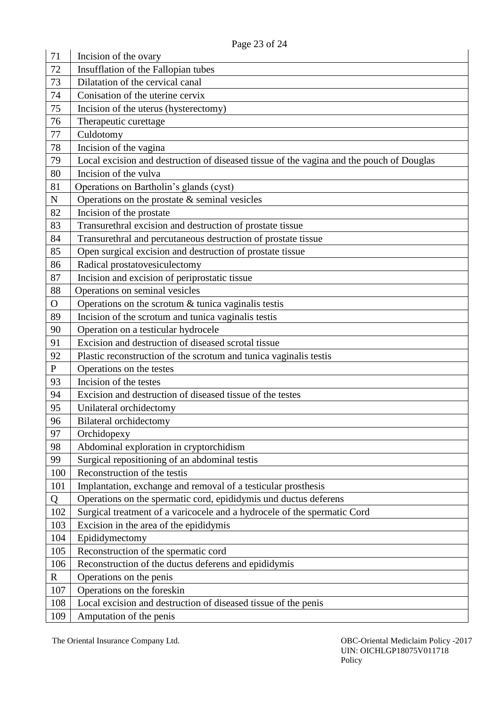| 71           | 1 agu 25 01 24<br>Incision of the ovary                                                  |
|--------------|------------------------------------------------------------------------------------------|
| 72           | Insufflation of the Fallopian tubes                                                      |
| 73           | Dilatation of the cervical canal                                                         |
| 74           | Conisation of the uterine cervix                                                         |
| 75           | Incision of the uterus (hysterectomy)                                                    |
| 76           | Therapeutic curettage                                                                    |
| 77           | Culdotomy                                                                                |
| 78           | Incision of the vagina                                                                   |
| 79           | Local excision and destruction of diseased tissue of the vagina and the pouch of Douglas |
| 80           | Incision of the vulva                                                                    |
| 81           | Operations on Bartholin's glands (cyst)                                                  |
| ${\bf N}$    | Operations on the prostate $&$ seminal vesicles                                          |
| 82           | Incision of the prostate                                                                 |
| 83           | Transurethral excision and destruction of prostate tissue                                |
| 84           | Transurethral and percutaneous destruction of prostate tissue                            |
| 85           | Open surgical excision and destruction of prostate tissue                                |
| 86           | Radical prostatovesiculectomy                                                            |
| 87           | Incision and excision of periprostatic tissue                                            |
| 88           | Operations on seminal vesicles                                                           |
| $\mathbf{O}$ | Operations on the scrotum & tunica vaginalis testis                                      |
| 89           | Incision of the scrotum and tunica vaginalis testis                                      |
| 90           | Operation on a testicular hydrocele                                                      |
| 91           | Excision and destruction of diseased scrotal tissue                                      |
| 92           | Plastic reconstruction of the scrotum and tunica vaginalis testis                        |
| ${\bf P}$    | Operations on the testes                                                                 |
| 93           | Incision of the testes                                                                   |
| 94           | Excision and destruction of diseased tissue of the testes                                |
| 95           | Unilateral orchidectomy                                                                  |
| 96           | <b>Bilateral orchidectomy</b>                                                            |
| 97           | Orchidopexy                                                                              |
| 98           | Abdominal exploration in cryptorchidism                                                  |
| 99           | Surgical repositioning of an abdominal testis                                            |
| 100          | Reconstruction of the testis                                                             |
| 101          | Implantation, exchange and removal of a testicular prosthesis                            |
| Q            | Operations on the spermatic cord, epididymis und ductus deferens                         |
| 102          | Surgical treatment of a varicocele and a hydrocele of the spermatic Cord                 |
| 103          | Excision in the area of the epididymis                                                   |
| 104          | Epididymectomy                                                                           |
| 105          | Reconstruction of the spermatic cord                                                     |
| 106          | Reconstruction of the ductus deferens and epididymis                                     |
| $\mathbf R$  | Operations on the penis                                                                  |
| 107          | Operations on the foreskin                                                               |
| 108          | Local excision and destruction of diseased tissue of the penis                           |
| 109          | Amputation of the penis                                                                  |